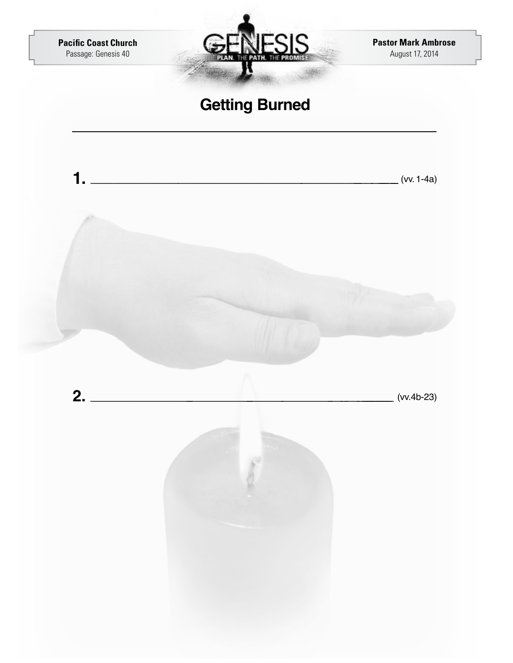